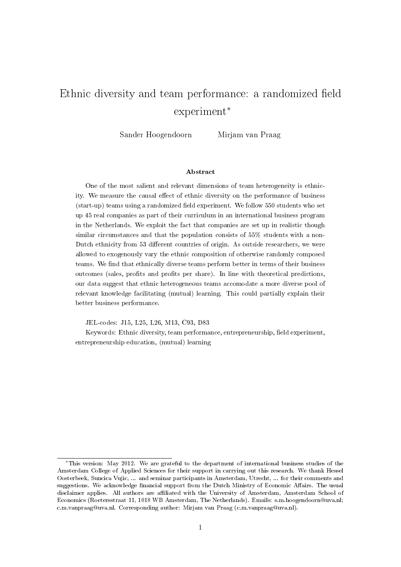# Ethnic diversity and team performance: a randomized field experiment<sup>∗</sup>

Sander Hoogendoorn Mirjam van Praag

#### Abstract

One of the most salient and relevant dimensions of team heterogeneity is ethnicity. We measure the causal effect of ethnic diversity on the performance of business  $(\text{start-up})$  teams using a randomized field experiment. We follow 550 students who set up 45 real companies as part of their curriculum in an international business program in the Netherlands. We exploit the fact that companies are set up in realistic though similar circumstances and that the population consists of 55% students with a non-Dutch ethnicity from 53 different countries of origin. As outside researchers, we were allowed to exogenously vary the ethnic composition of otherwise randomly composed teams. We find that ethnically diverse teams perform better in terms of their business outcomes (sales, profits and profits per share). In line with theoretical predictions, our data suggest that ethnic heterogeneous teams accomodate a more diverse pool of relevant knowledge facilitating (mutual) learning. This could partially explain their better business performance.

JEL-codes: J15, L25, L26, M13, C93, D83

Keywords: Ethnic diversity, team performance, entrepreneurship, field experiment. entrepreneurship education, (mutual) learning

<sup>∗</sup>This version: May 2012. We are grateful to the department of international business studies of the Amsterdam College of Applied Sciences for their support in carrying out this research. We thank Hessel Oosterbeek, Suncica Vujic, ... and seminar participants in Amsterdam, Utrecht, ... for their comments and suggestions. We acknowledge financial support from the Dutch Ministry of Economic Affairs. The usual disclaimer applies. All authors are affiliated with the University of Amsterdam, Amsterdam School of Economics (Roetersstraat 11, 1018 WB Amsterdam, The Netherlands). Emails: s.m.hoogendoorn@uva.nl; c.m.vanpraag@uva.nl. Corresponding author: Mirjam van Praag (c.m.vanpraag@uva.nl).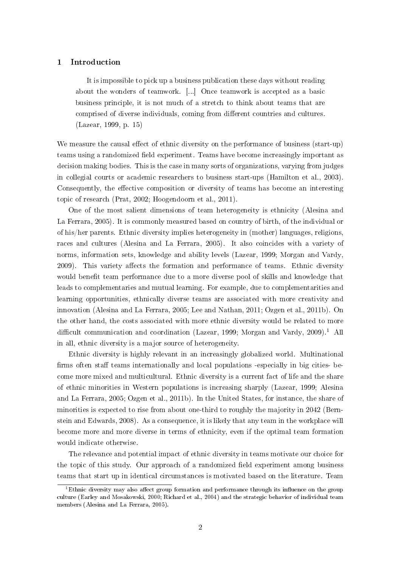# 1 Introduction

It is impossible to pick up a business publication these days without reading about the wonders of teamwork. [...] Once teamwork is accepted as a basic business principle, it is not much of a stretch to think about teams that are comprised of diverse individuals, coming from different countries and cultures. (Lazear, 1999, p. 15)

We measure the causal effect of ethnic diversity on the performance of business (start-up) teams using a randomized field experiment. Teams have become increasingly important as decision making bodies. This is the case in many sorts of organizations, varying from judges in collegial courts or academic researchers to business start-ups (Hamilton et al., 2003). Consequently, the effective composition or diversity of teams has become an interesting topic of research (Prat, 2002; Hoogendoorn et al., 2011).

One of the most salient dimensions of team heterogeneity is ethnicity (Alesina and La Ferrara, 2005). It is commonly measured based on country of birth, of the individual or of his/her parents. Ethnic diversity implies heterogeneity in (mother) languages, religions, races and cultures (Alesina and La Ferrara, 2005). It also coincides with a variety of norms, information sets, knowledge and ability levels (Lazear, 1999; Morgan and Vardy, 2009). This variety affects the formation and performance of teams. Ethnic diversity would benefit team performance due to a more diverse pool of skills and knowledge that leads to complementaries and mutual learning. For example, due to complementarities and learning opportunities, ethnically diverse teams are associated with more creativity and innovation (Alesina and La Ferrara, 2005; Lee and Nathan, 2011; Ozgen et al., 2011b). On the other hand, the costs associated with more ethnic diversity would be related to more difficult communication and coordination (Lazear, 1999; Morgan and Vardy, 2009).<sup>1</sup> All in all, ethnic diversity is a major source of heterogeneity.

Ethnic diversity is highly relevant in an increasingly globalized world. Multinational firms often staff teams internationally and local populations -especially in big cities- become more mixed and multicultural. Ethnic diversity is a current fact of life and the share of ethnic minorities in Western populations is increasing sharply (Lazear, 1999; Alesina and La Ferrara, 2005; Ozgen et al., 2011b). In the United States, for instance, the share of minorities is expected to rise from about one-third to roughly the majority in 2042 (Bernstein and Edwards, 2008). As a consequence, it is likely that any team in the workplace will become more and more diverse in terms of ethnicity, even if the optimal team formation would indicate otherwise.

The relevance and potential impact of ethnic diversity in teams motivate our choice for the topic of this study. Our approach of a randomized field experiment among business teams that start up in identical circumstances is motivated based on the literature. Team

 $^1$ Ethnic diversity may also affect group formation and performance through its influence on the group culture (Earley and Mosakowski, 2000; Richard et al., 2004) and the strategic behavior of individual team members (Alesina and La Ferrara, 2005).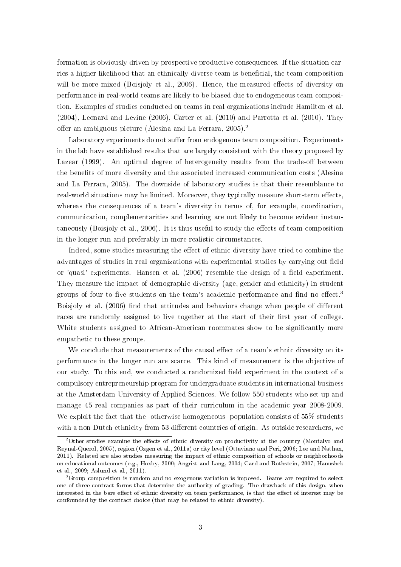formation is obviously driven by prospective productive consequences. If the situation carries a higher likelihood that an ethnically diverse team is beneficial, the team composition will be more mixed (Boisjoly et al., 2006). Hence, the measured effects of diversity on performance in real-world teams are likely to be biased due to endogeneous team composition. Examples of studies conducted on teams in real organizations include Hamilton et al. (2004), Leonard and Levine (2006), Carter et al. (2010) and Parrotta et al. (2010). They offer an ambiguous picture (Alesina and La Ferrara, 2005).<sup>2</sup>

Laboratory experiments do not suffer from endogenous team composition. Experiments in the lab have established results that are largely consistent with the theory proposed by Lazear  $(1999)$ . An optimal degree of heterogeneity results from the trade-off between the benefits of more diversity and the associated increased communication costs (Alesina and La Ferrara, 2005). The downside of laboratory studies is that their resemblance to real-world situations may be limited. Moreover, they typically measure short-term effects, whereas the consequences of a team's diversity in terms of, for example, coordination, communication, complementarities and learning are not likely to become evident instantaneously (Boisjoly et al., 2006). It is thus useful to study the effects of team composition in the longer run and preferably in more realistic circumstances.

Indeed, some studies measuring the effect of ethnic diversity have tried to combine the advantages of studies in real organizations with experimental studies by carrying out field or 'quasi' experiments. Hansen et al. (2006) resemble the design of a field experiment. They measure the impact of demographic diversity (age, gender and ethnicity) in student groups of four to five students on the team's academic performance and find no effect.<sup>3</sup> Boisjoly et al. (2006) find that attitudes and behaviors change when people of different races are randomly assigned to live together at the start of their first year of college. White students assigned to African-American roommates show to be significantly more empathetic to these groups.

We conclude that measurements of the causal effect of a team's ethnic diversity on its performance in the longer run are scarce. This kind of measurement is the objective of our study. To this end, we conducted a randomized field experiment in the context of a compulsory entrepreneurship program for undergraduate students in international business at the Amsterdam University of Applied Sciences. We follow 550 students who set up and manage 45 real companies as part of their curriculum in the academic year 2008-2009. We exploit the fact that the -otherwise homogeneous- population consists of 55% students with a non-Dutch ethnicity from 53 different countries of origin. As outside researchers, we

 $2$ Other studies examine the effects of ethnic diversity on productivity at the country (Montalvo and Reynal-Querol, 2005), region (Ozgen et al., 2011a) or city level (Ottaviano and Peri, 2006; Lee and Nathan, 2011). Related are also studies measuring the impact of ethnic composition of schools or neighborhoods on educational outcomes (e.g., Hoxby, 2000; Angrist and Lang, 2004; Card and Rothstein, 2007; Hanushek et al., 2009; Aslund et al., 2011).

<sup>&</sup>lt;sup>3</sup>Group composition is random and no exogenous variation is imposed. Teams are required to select one of three contract forms that determine the authority of grading. The drawback of this design, when interested in the bare effect of ethnic diversity on team performance, is that the effect of interest may be confounded by the contract choice (that may be related to ethnic diversity).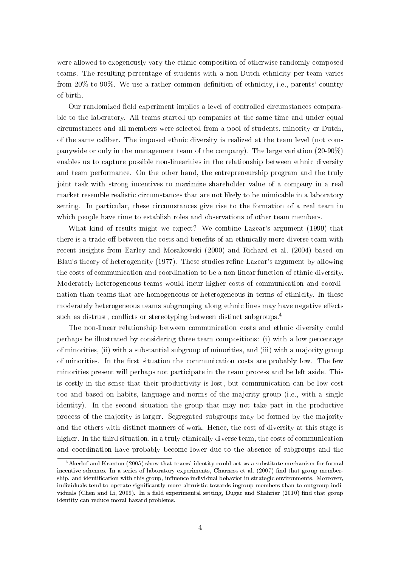were allowed to exogenously vary the ethnic composition of otherwise randomly composed teams. The resulting percentage of students with a non-Dutch ethnicity per team varies from  $20\%$  to  $90\%$ . We use a rather common definition of ethnicity, i.e., parents' country of birth.

Our randomized field experiment implies a level of controlled circumstances comparable to the laboratory. All teams started up companies at the same time and under equal circumstances and all members were selected from a pool of students, minority or Dutch, of the same caliber. The imposed ethnic diversity is realized at the team level (not companywide or only in the management team of the company). The large variation (20-90%) enables us to capture possible non-linearities in the relationship between ethnic diversity and team performance. On the other hand, the entrepreneurship program and the truly joint task with strong incentives to maximize shareholder value of a company in a real market resemble realistic circumstances that are not likely to be mimicable in a laboratory setting. In particular, these circumstances give rise to the formation of a real team in which people have time to establish roles and observations of other team members.

What kind of results might we expect? We combine Lazear's argument (1999) that there is a trade-off between the costs and benefits of an ethnically more diverse team with recent insights from Earley and Mosakowski (2000) and Richard et al. (2004) based on Blau's theory of heterogeneity (1977). These studies refine Lazear's argument by allowing the costs of communication and coordination to be a non-linear function of ethnic diversity. Moderately heterogeneous teams would incur higher costs of communication and coordination than teams that are homogeneous or heterogeneous in terms of ethnicity. In these moderately heterogeneous teams subgrouping along ethnic lines may have negative effects such as distrust, conflicts or stereotyping between distinct subgroups.<sup>4</sup>

The non-linear relationship between communication costs and ethnic diversity could perhaps be illustrated by considering three team compositions: (i) with a low percentage of minorities, (ii) with a substantial subgroup of minorities, and (iii) with a majority group of minorities. In the first situation the communication costs are probably low. The few minorities present will perhaps not participate in the team process and be left aside. This is costly in the sense that their productivity is lost, but communication can be low cost too and based on habits, language and norms of the majority group (i.e., with a single identity). In the second situation the group that may not take part in the productive process of the majority is larger. Segregated subgroups may be formed by the majority and the others with distinct manners of work. Hence, the cost of diversity at this stage is higher. In the third situation, in a truly ethnically diverse team, the costs of communication and coordination have probably become lower due to the absence of subgroups and the

<sup>4</sup>Akerlof and Kranton (2005) show that teams' identity could act as a substitute mechanism for formal incentive schemes. In a series of laboratory experiments, Charness et al. (2007) find that group membership, and identification with this group, influence individual behavior in strategic environments. Moreover, individuals tend to operate significantly more altruistic towards ingroup members than to outgroup individuals (Chen and Li, 2009). In a field experimental setting, Dugar and Shahriar (2010) find that group identity can reduce moral hazard problems.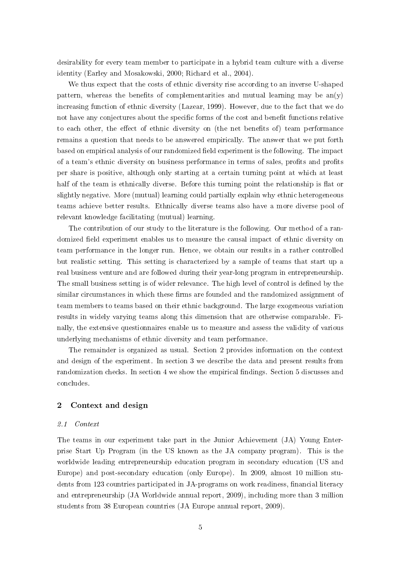desirability for every team member to participate in a hybrid team culture with a diverse identity (Earley and Mosakowski, 2000; Richard et al., 2004).

We thus expect that the costs of ethnic diversity rise according to an inverse U-shaped pattern, whereas the benefits of complementarities and mutual learning may be  $an(y)$ increasing function of ethnic diversity (Lazear, 1999). However, due to the fact that we do not have any conjectures about the specific forms of the cost and benefit functions relative to each other, the effect of ethnic diversity on (the net benefits of) team performance remains a question that needs to be answered empirically. The answer that we put forth based on empirical analysis of our randomized field experiment is the following. The impact of a team's ethnic diversity on business performance in terms of sales, profits and profits per share is positive, although only starting at a certain turning point at which at least half of the team is ethnically diverse. Before this turning point the relationship is flat or slightly negative. More (mutual) learning could partially explain why ethnic heterogeneous teams achieve better results. Ethnically diverse teams also have a more diverse pool of relevant knowledge facilitating (mutual) learning.

The contribution of our study to the literature is the following. Our method of a randomized field experiment enables us to measure the causal impact of ethnic diversity on team performance in the longer run. Hence, we obtain our results in a rather controlled but realistic setting. This setting is characterized by a sample of teams that start up a real business venture and are followed during their year-long program in entrepreneurship. The small business setting is of wider relevance. The high level of control is defined by the similar circumstances in which these firms are founded and the randomized assignment of team members to teams based on their ethnic background. The large exogeneous variation results in widely varying teams along this dimension that are otherwise comparable. Finally, the extensive questionnaires enable us to measure and assess the validity of various underlying mechanisms of ethnic diversity and team performance.

The remainder is organized as usual. Section 2 provides information on the context and design of the experiment. In section 3 we describe the data and present results from randomization checks. In section 4 we show the empirical findings. Section 5 discusses and concludes.

# 2 Context and design

#### 2.1 Context

The teams in our experiment take part in the Junior Achievement (JA) Young Enterprise Start Up Program (in the US known as the JA company program). This is the worldwide leading entrepreneurship education program in secondary education (US and Europe) and post-secondary education (only Europe). In 2009, almost 10 million students from 123 countries participated in JA-programs on work readiness, financial literacy and entrepreneurship (JA Worldwide annual report, 2009), including more than 3 million students from 38 European countries (JA Europe annual report, 2009).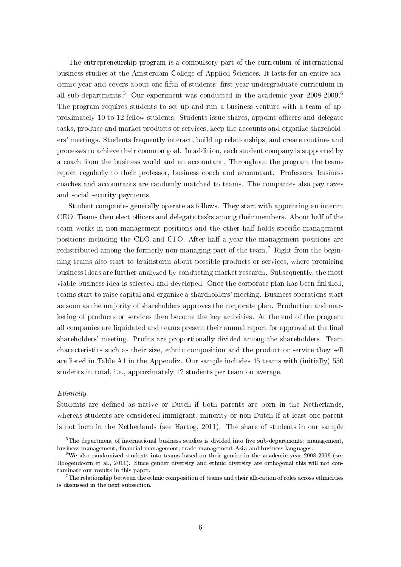The entrepreneurship program is a compulsory part of the curriculum of international business studies at the Amsterdam College of Applied Sciences. It lasts for an entire academic year and covers about one-fifth of students' first-year undergraduate curriculum in all sub-departments.<sup>5</sup> Our experiment was conducted in the academic year 2008-2009.<sup>6</sup> The program requires students to set up and run a business venture with a team of approximately 10 to 12 fellow students. Students issue shares, appoint officers and delegate tasks, produce and market products or services, keep the accounts and organize shareholders' meetings. Students frequently interact, build up relationships, and create routines and processes to achieve their common goal. In addition, each student company is supported by a coach from the business world and an accountant. Throughout the program the teams report regularly to their professor, business coach and accountant. Professors, business coaches and accountants are randomly matched to teams. The companies also pay taxes and social security payments.

Student companies generally operate as follows. They start with appointing an interim CEO. Teams then elect officers and delegate tasks among their members. About half of the team works in non-management positions and the other half holds specific management positions including the CEO and CFO. After half a year the management positions are redistributed among the formerly non-managing part of the team.<sup>7</sup> Right from the beginning teams also start to brainstorm about possible products or services, where promising business ideas are further analyzed by conducting market research. Subsequently, the most viable business idea is selected and developed. Once the corporate plan has been finished, teams start to raise capital and organize a shareholders' meeting. Business operations start as soon as the majority of shareholders approves the corporate plan. Production and marketing of products or services then become the key activities. At the end of the program all companies are liquidated and teams present their annual report for approval at the final shareholders' meeting. Profits are proportionally divided among the shareholders. Team characteristics such as their size, ethnic composition and the product or service they sell are listed in Table A1 in the Appendix. Our sample includes 45 teams with (initially) 550 students in total, i.e., approximately 12 students per team on average.

#### Ethnicity

Students are defined as native or Dutch if both parents are born in the Netherlands, whereas students are considered immigrant, minority or non-Dutch if at least one parent is not born in the Netherlands (see Hartog, 2011). The share of students in our sample

 $5$ The department of international business studies is divided into five sub-departments: management, business management, financial management, trade management Asia and business languages.

 $6$ We also randomized students into teams based on their gender in the academic year 2008-2009 (see Hoogendoorn et al., 2011). Since gender diversity and ethnic diversity are orthogonal this will not contaminate our results in this paper.

 $7$ The relationship between the ethnic composition of teams and their allocation of roles across ethnicities is discussed in the next subsection.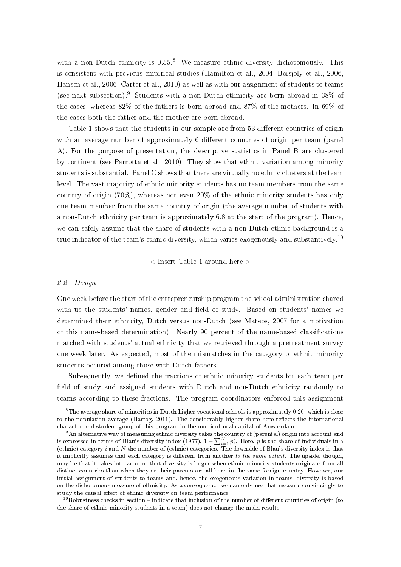with a non-Dutch ethnicity is 0.55.<sup>8</sup> We measure ethnic diversity dichotomously. This is consistent with previous empirical studies (Hamilton et al., 2004; Boisjoly et al., 2006; Hansen et al., 2006; Carter et al., 2010) as well as with our assignment of students to teams (see next subsection).<sup>9</sup> Students with a non-Dutch ethnicity are born abroad in 38% of the cases, whereas 82% of the fathers is born abroad and 87% of the mothers. In 69% of the cases both the father and the mother are born abroad.

Table 1 shows that the students in our sample are from 53 different countries of origin with an average number of approximately 6 different countries of origin per team (panel A). For the purpose of presentation, the descriptive statistics in Panel B are clustered by continent (see Parrotta et al., 2010). They show that ethnic variation among minority students is substantial. Panel C shows that there are virtually no ethnic clusters at the team level. The vast majority of ethnic minority students has no team members from the same country of origin (70%), whereas not even 20% of the ethnic minority students has only one team member from the same country of origin (the average number of students with a non-Dutch ethnicity per team is approximately 6.8 at the start of the program). Hence, we can safely assume that the share of students with a non-Dutch ethnic background is a true indicator of the team's ethnic diversity, which varies exogenously and substantively.<sup>10</sup>

 $\langle$  Insert Table 1 around here  $>$ 

## 2.2 Design

One week before the start of the entrepreneurship program the school administration shared with us the students' names, gender and field of study. Based on students' names we determined their ethnicity, Dutch versus non-Dutch (see Mateos, 2007 for a motivation of this name-based determination). Nearly 90 percent of the name-based classifications matched with students' actual ethnicity that we retrieved through a pretreatment survey one week later. As expected, most of the mismatches in the category of ethnic minority students occured among those with Dutch fathers.

Subsequently, we defined the fractions of ethnic minority students for each team per field of study and assigned students with Dutch and non-Dutch ethnicity randomly to teams according to these fractions. The program coordinators enforced this assignment

 ${}^{8}$ The average share of minorities in Dutch higher vocational schools is approximately 0.20, which is close to the population average (Hartog, 2011). The considerably higher share here reflects the international character and student group of this program in the multicultural capital of Amsterdam.

<sup>&</sup>lt;sup>9</sup>An alternative way of measuring ethnic diversity takes the country of (parental) origin into account and is expressed in terms of Blau's diversity index (1977),  $1-\sum_{i=1}^Np_i^2.$  Here,  $p$  is the share of individuals in a (ethnic) category i and N the number of (ethnic) categories. The downside of Blau's diversity index is that it implicitly assumes that each category is different from another to the same extent. The upside, though, may be that it takes into account that diversity is larger when ethnic minority students originate from all distinct countries than when they or their parents are all born in the same foreign country. However, our initial assignment of students to teams and, hence, the exogeneous variation in teams' diversity is based on the dichotomous measure of ethnicity. As a consequence, we can only use that measure convincingly to study the causal effect of ethnic diversity on team performance.

 $10$ Robustness checks in section 4 indicate that inclusion of the number of different countries of origin (to the share of ethnic minority students in a team) does not change the main results.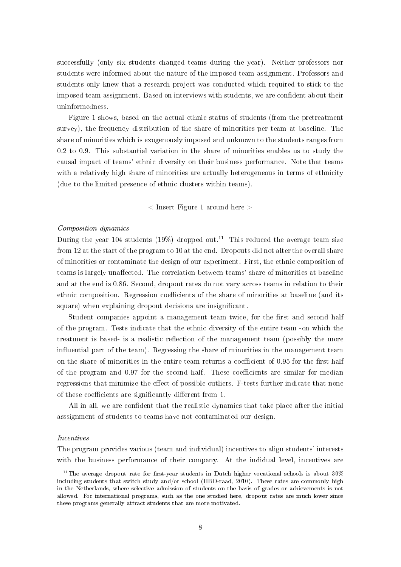successfully (only six students changed teams during the year). Neither professors nor students were informed about the nature of the imposed team assignment. Professors and students only knew that a research project was conducted which required to stick to the imposed team assignment. Based on interviews with students, we are confident about their uninformedness.

Figure 1 shows, based on the actual ethnic status of students (from the pretreatment survey), the frequency distribution of the share of minorities per team at baseline. The share of minorities which is exogenously imposed and unknown to the students ranges from 0.2 to 0.9. This substantial variation in the share of minorities enables us to study the causal impact of teams' ethnic diversity on their business performance. Note that teams with a relatively high share of minorities are actually heterogeneous in terms of ethnicity (due to the limited presence of ethnic clusters within teams).

 $<$  Insert Figure 1 around here  $>$ 

## Composition dynamics

During the year 104 students (19%) dropped out.<sup>11</sup> This reduced the average team size from 12 at the start of the program to 10 at the end. Dropouts did not alter the overall share of minorities or contaminate the design of our experiment. First, the ethnic composition of teams is largely unaffected. The correlation between teams' share of minorities at baseline and at the end is 0.86. Second, dropout rates do not vary across teams in relation to their ethnic composition. Regression coefficients of the share of minorities at baseline (and its square) when explaining dropout decisions are insignicant.

Student companies appoint a management team twice, for the first and second half of the program. Tests indicate that the ethnic diversity of the entire team -on which the treatment is based- is a realistic reflection of the management team (possibly the more influential part of the team). Regressing the share of minorities in the management team on the share of minorities in the entire team returns a coefficient of 0.95 for the first half of the program and 0.97 for the second half. These coefficients are similar for median regressions that minimize the effect of possible outliers. F-tests further indicate that none of these coefficients are significantly different from 1.

All in all, we are confident that the realistic dynamics that take place after the initial asssignment of students to teams have not contaminated our design.

#### Incentives

The program provides various (team and individual) incentives to align students' interests with the business performance of their company. At the indidual level, incentives are

 $11$ The average dropout rate for first-year students in Dutch higher vocational schools is about 30% including students that switch study and/or school (HBO-raad, 2010). These rates are commonly high in the Netherlands, where selective admission of students on the basis of grades or achievements is not allowed. For international programs, such as the one studied here, dropout rates are much lower since these programs generally attract students that are more motivated.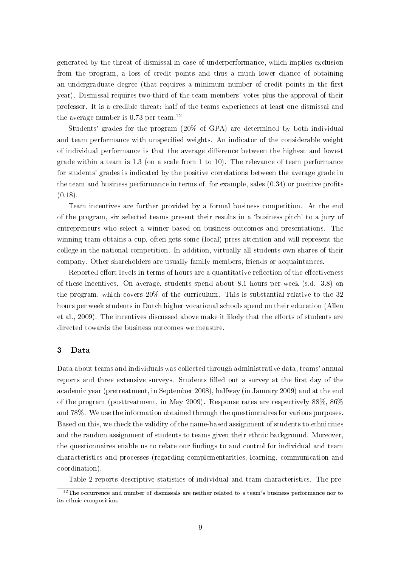generated by the threat of dismissal in case of underperformance, which implies exclusion from the program, a loss of credit points and thus a much lower chance of obtaining an undergraduate degree (that requires a minimum number of credit points in the first year). Dismissal requires two-third of the team members' votes plus the approval of their professor. It is a credible threat: half of the teams experiences at least one dismissal and the average number is 0.73 per team.<sup>12</sup>

Students' grades for the program (20% of GPA) are determined by both individual and team performance with unspecified weights. An indicator of the considerable weight of individual performance is that the average difference between the highest and lowest grade within a team is 1.3 (on a scale from 1 to 10). The relevance of team performance for students' grades is indicated by the positive correlations between the average grade in the team and business performance in terms of, for example, sales  $(0.34)$  or positive profits  $(0.18).$ 

Team incentives are further provided by a formal business competition. At the end of the program, six selected teams present their results in a `business pitch' to a jury of entrepreneurs who select a winner based on business outcomes and presentations. The winning team obtains a cup, often gets some (local) press attention and will represent the college in the national competition. In addition, virtually all students own shares of their company. Other shareholders are usually family members, friends or acquaintances.

Reported effort levels in terms of hours are a quantitative reflection of the effectiveness of these incentives. On average, students spend about 8.1 hours per week (s.d. 3.8) on the program, which covers 20% of the curriculum. This is substantial relative to the 32 hours per week students in Dutch higher vocational schools spend on their education (Allen et al., 2009). The incentives discussed above make it likely that the efforts of students are directed towards the business outcomes we measure.

# 3 Data

Data about teams and individuals was collected through administrative data, teams' annual reports and three extensive surveys. Students filled out a survey at the first day of the academic year (pretreatment, in September 2008), halfway (in January 2009) and at the end of the program (posttreatment, in May 2009). Response rates are respectively 88%, 86% and 78%. We use the information obtained through the questionnaires for various purposes. Based on this, we check the validity of the name-based assignment of students to ethnicities and the random assignment of students to teams given their ethnic background. Moreover, the questionnaires enable us to relate our findings to and control for individual and team characteristics and processes (regarding complementarities, learning, communication and coordination).

Table 2 reports descriptive statistics of individual and team characteristics. The pre-

 $12$ The occurrence and number of dismissals are neither related to a team's business performance nor to its ethnic composition.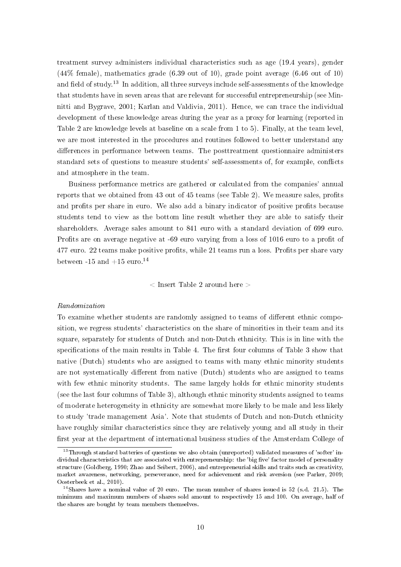treatment survey administers individual characteristics such as age (19.4 years), gender (44% female), mathematics grade (6.39 out of 10), grade point average (6.46 out of 10) and field of study.<sup>13</sup> In addition, all three surveys include self-assessments of the knowledge that students have in seven areas that are relevant for successful entrepreneurship (see Minnitti and Bygrave, 2001; Karlan and Valdivia, 2011). Hence, we can trace the individual development of these knowledge areas during the year as a proxy for learning (reported in Table 2 are knowledge levels at baseline on a scale from 1 to 5). Finally, at the team level, we are most interested in the procedures and routines followed to better understand any differences in performance between teams. The posttreatment questionnaire administers standard sets of questions to measure students' self-assessments of, for example, conflicts and atmosphere in the team.

Business performance metrics are gathered or calculated from the companies' annual reports that we obtained from 43 out of 45 teams (see Table 2). We measure sales, profits and profits per share in euro. We also add a binary indicator of positive profits because students tend to view as the bottom line result whether they are able to satisfy their shareholders. Average sales amount to 841 euro with a standard deviation of 699 euro. Profits are on average negative at -69 euro varying from a loss of 1016 euro to a profit of 477 euro. 22 teams make positive profits, while 21 teams run a loss. Profits per share vary between -15 and  $+15$  euro.<sup>14</sup>

 $\langle$  Insert Table 2 around here  $>$ 

## Randomization

To examine whether students are randomly assigned to teams of different ethnic composition, we regress students' characteristics on the share of minorities in their team and its square, separately for students of Dutch and non-Dutch ethnicity. This is in line with the specifications of the main results in Table 4. The first four columns of Table 3 show that native (Dutch) students who are assigned to teams with many ethnic minority students are not systematically different from native (Dutch) students who are assigned to teams with few ethnic minority students. The same largely holds for ethnic minority students (see the last four columns of Table 3), although ethnic minority students assigned to teams of moderate heterogeneity in ethnicity are somewhat more likely to be male and less likely to study 'trade management Asia'. Note that students of Dutch and non-Dutch ethnicity have roughly similar characteristics since they are relatively young and all study in their first year at the department of international business studies of the Amsterdam College of

 $13$ Through standard batteries of questions we also obtain (unreported) validated measures of 'softer' individual characteristics that are associated with entrepreneurship: the 'big five' factor model of personality structure (Goldberg, 1990; Zhao and Seibert, 2006), and entrepreneurial skills and traits such as creativity, market awareness, networking, perseverance, need for achievement and risk aversion (see Parker, 2009; Oosterbeek et al., 2010).

<sup>&</sup>lt;sup>14</sup>Shares have a nominal value of 20 euro. The mean number of shares issued is 52 (s.d. 21.5). The minimum and maximum numbers of shares sold amount to respectively 15 and 100. On average, half of the shares are bought by team members themselves.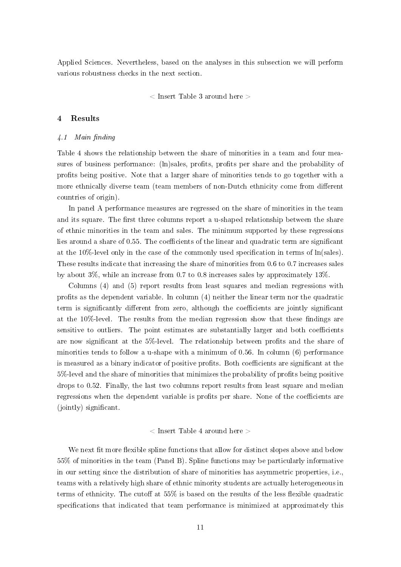Applied Sciences. Nevertheless, based on the analyses in this subsection we will perform various robustness checks in the next section.

 $\langle$  Insert Table 3 around here  $\langle$ 

## 4 Results

## $\angle 1$  Main finding

Table 4 shows the relationship between the share of minorities in a team and four measures of business performance: (ln)sales, profits, profits per share and the probability of prots being positive. Note that a larger share of minorities tends to go together with a more ethnically diverse team (team members of non-Dutch ethnicity come from different countries of origin).

In panel A performance measures are regressed on the share of minorities in the team and its square. The first three columns report a u-shaped relationship between the share of ethnic minorities in the team and sales. The minimum supported by these regressions lies around a share of  $0.55$ . The coefficients of the linear and quadratic term are significant at the 10%-level only in the case of the commonly used specification in terms of ln(sales). These results indicate that increasing the share of minorities from 0.6 to 0.7 increases sales by about 3%, while an increase from 0.7 to 0.8 increases sales by approximately 13%.

Columns (4) and (5) report results from least squares and median regressions with prots as the dependent variable. In column (4) neither the linear term nor the quadratic term is significantly different from zero, although the coefficients are jointly significant at the  $10\%$ -level. The results from the median regression show that these findings are sensitive to outliers. The point estimates are substantially larger and both coefficients are now significant at the 5%-level. The relationship between profits and the share of minorities tends to follow a u-shape with a minimum of 0.56. In column (6) performance is measured as a binary indicator of positive profits. Both coefficients are significant at the 5%-level and the share of minorities that minimizes the probability of profits being positive drops to 0.52. Finally, the last two columns report results from least square and median regressions when the dependent variable is profits per share. None of the coefficients are (jointly) significant.

## $\langle$  Insert Table 4 around here  $\langle$

We next fit more flexible spline functions that allow for distinct slopes above and below 55% of minorities in the team (Panel B). Spline functions may be particularly informative in our setting since the distribution of share of minorities has asymmetric properties, i.e., teams with a relatively high share of ethnic minority students are actually heterogeneous in terms of ethnicity. The cutoff at  $55\%$  is based on the results of the less flexible quadratic specifications that indicated that team performance is minimized at approximately this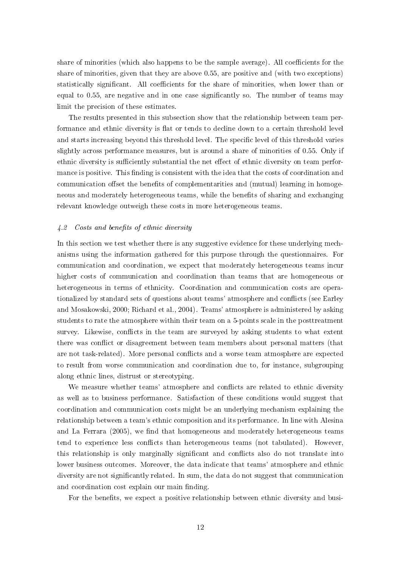share of minorities (which also happens to be the sample average). All coefficients for the share of minorities, given that they are above 0.55, are positive and (with two exceptions) statistically significant. All coefficients for the share of minorities, when lower than or equal to 0.55, are negative and in one case signicantly so. The number of teams may limit the precision of these estimates.

The results presented in this subsection show that the relationship between team performance and ethnic diversity is flat or tends to decline down to a certain threshold level and starts increasing beyond this threshold level. The specific level of this threshold varies slightly across performance measures, but is around a share of minorities of 0.55. Only if ethnic diversity is sufficiently substantial the net effect of ethnic diversity on team performance is positive. This finding is consistent with the idea that the costs of coordination and communication offset the benefits of complementarities and (mutual) learning in homogeneous and moderately heterogeneous teams, while the benefits of sharing and exchanging relevant knowledge outweigh these costs in more heterogeneous teams.

## 4.2 Costs and benefits of ethnic diversity

In this section we test whether there is any suggestive evidence for these underlying mechanisms using the information gathered for this purpose through the questionnaires. For communication and coordination, we expect that moderately heterogeneous teams incur higher costs of communication and coordination than teams that are homogeneous or heterogeneous in terms of ethnicity. Coordination and communication costs are operationalized by standard sets of questions about teams' atmosphere and conflicts (see Earley and Mosakowski, 2000; Richard et al., 2004). Teams' atmosphere is administered by asking students to rate the atmosphere within their team on a 5-points scale in the posttreatment survey. Likewise, conflicts in the team are surveyed by asking students to what extent there was conflict or disagreement between team members about personal matters (that are not task-related). More personal conflicts and a worse team atmosphere are expected to result from worse communication and coordination due to, for instance, subgrouping along ethnic lines, distrust or stereotyping.

We measure whether teams' atmosphere and conflicts are related to ethnic diversity as well as to business performance. Satisfaction of these conditions would suggest that coordination and communication costs might be an underlying mechanism explaining the relationship between a team's ethnic composition and its performance. In line with Alesina and La Ferrara (2005), we find that homogeneous and moderately heterogeneous teams tend to experience less conflicts than heterogeneous teams (not tabulated). However, this relationship is only marginally significant and conflicts also do not translate into lower business outcomes. Moreover, the data indicate that teams' atmosphere and ethnic diversity are not signicantly related. In sum, the data do not suggest that communication and coordination cost explain our main finding.

For the benefits, we expect a positive relationship between ethnic diversity and busi-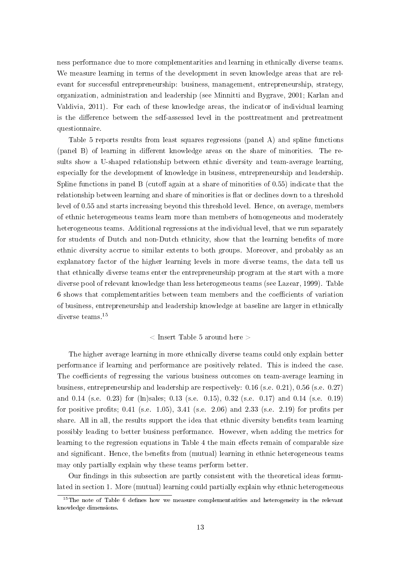ness performance due to more complementarities and learning in ethnically diverse teams. We measure learning in terms of the development in seven knowledge areas that are relevant for successful entrepreneurship: business, management, entrepreneurship, strategy, organization, administration and leadership (see Minnitti and Bygrave, 2001; Karlan and Valdivia, 2011). For each of these knowledge areas, the indicator of individual learning is the difference between the self-assessed level in the posttreatment and pretreatment questionnaire.

Table 5 reports results from least squares regressions (panel A) and spline functions  $(p$ anel B) of learning in different knowledge areas on the share of minorities. The results show a U-shaped relationship between ethnic diversity and team-average learning, especially for the development of knowledge in business, entrepreneurship and leadership. Spline functions in panel B (cutoff again at a share of minorities of  $0.55$ ) indicate that the relationship between learning and share of minorities is flat or declines down to a threshold level of 0.55 and starts increasing beyond this threshold level. Hence, on average, members of ethnic heterogeneous teams learn more than members of homogeneous and moderately heterogeneous teams. Additional regressions at the individual level, that we run separately for students of Dutch and non-Dutch ethnicity, show that the learning benets of more ethnic diversity accrue to similar extents to both groups. Moreover, and probably as an explanatory factor of the higher learning levels in more diverse teams, the data tell us that ethnically diverse teams enter the entrepreneurship program at the start with a more diverse pool of relevant knowledge than less heterogeneous teams (see Lazear, 1999). Table 6 shows that complementarities between team members and the coefficients of variation of business, entrepreneurship and leadership knowledge at baseline are larger in ethnically diverse teams.<sup>15</sup>

# $\langle$  Insert Table 5 around here  $\langle$

The higher average learning in more ethnically diverse teams could only explain better performance if learning and performance are positively related. This is indeed the case. The coefficients of regressing the various business outcomes on team-average learning in business, entrepreneurship and leadership are respectively: 0.16 (s.e. 0.21), 0.56 (s.e. 0.27) and 0.14 (s.e. 0.23) for (ln)sales; 0.13 (s.e. 0.15), 0.32 (s.e. 0.17) and 0.14 (s.e. 0.19) for positive profits; 0.41 (s.e. 1.05), 3.41 (s.e. 2.06) and 2.33 (s.e. 2.19) for profits per share. All in all, the results support the idea that ethnic diversity benefits team learning possibly leading to better business performance. However, when adding the metrics for learning to the regression equations in Table 4 the main effects remain of comparable size and significant. Hence, the benefits from (mutual) learning in ethnic heterogeneous teams may only partially explain why these teams perform better.

Our findings in this subsection are partly consistent with the theoretical ideas formulated in section 1. More (mutual) learning could partially explain why ethnic heterogeneous

 $15$ The note of Table 6 defines how we measure complementarities and heterogeneity in the relevant knowledge dimensions.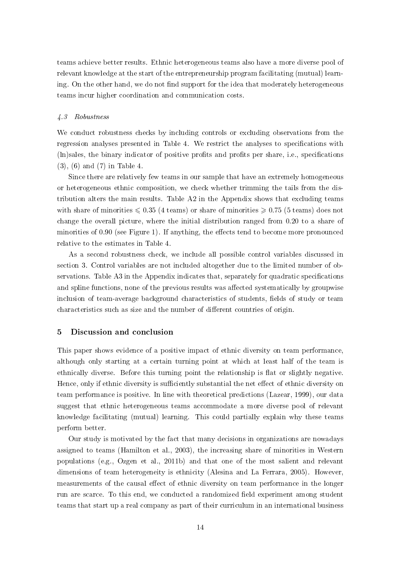teams achieve better results. Ethnic heterogeneous teams also have a more diverse pool of relevant knowledge at the start of the entrepreneurship program facilitating (mutual) learning. On the other hand, we do not find support for the idea that moderately heterogeneous teams incur higher coordination and communication costs.

## 4.3 Robustness

We conduct robustness checks by including controls or excluding observations from the regression analyses presented in Table 4. We restrict the analyses to specifications with  $(\text{ln})$ sales, the binary indicator of positive profits and profits per share, i.e., specifications  $(3), (6)$  and  $(7)$  in Table 4.

Since there are relatively few teams in our sample that have an extremely homogeneous or heterogeneous ethnic composition, we check whether trimming the tails from the distribution alters the main results. Table A2 in the Appendix shows that excluding teams with share of minorities  $\leq 0.35$  (4 teams) or share of minorities  $\geq 0.75$  (5 teams) does not change the overall picture, where the initial distribution ranged from 0.20 to a share of minorities of  $0.90$  (see Figure 1). If anything, the effects tend to become more pronounced relative to the estimates in Table 4.

As a second robustness check, we include all possible control variables discussed in section 3. Control variables are not included altogether due to the limited number of observations. Table A3 in the Appendix indicates that, separately for quadratic specifications and spline functions, none of the previous results was affected systematically by groupwise inclusion of team-average background characteristics of students, fields of study or team characteristics such as size and the number of different countries of origin.

#### 5 Discussion and conclusion

This paper shows evidence of a positive impact of ethnic diversity on team performance, although only starting at a certain turning point at which at least half of the team is ethnically diverse. Before this turning point the relationship is flat or slightly negative. Hence, only if ethnic diversity is sufficiently substantial the net effect of ethnic diversity on team performance is positive. In line with theoretical predictions (Lazear, 1999), our data suggest that ethnic heterogeneous teams accommodate a more diverse pool of relevant knowledge facilitating (mutual) learning. This could partially explain why these teams perform better.

Our study is motivated by the fact that many decisions in organizations are nowadays assigned to teams (Hamilton et al., 2003), the increasing share of minorities in Western populations (e.g., Ozgen et al., 2011b) and that one of the most salient and relevant dimensions of team heterogeneity is ethnicity (Alesina and La Ferrara, 2005). However, measurements of the causal effect of ethnic diversity on team performance in the longer run are scarce. To this end, we conducted a randomized field experiment among student teams that start up a real company as part of their curriculum in an international business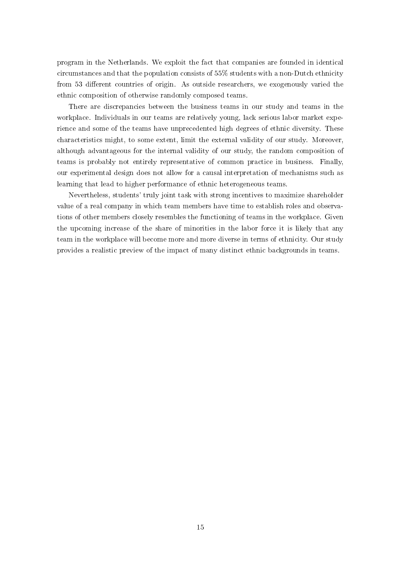program in the Netherlands. We exploit the fact that companies are founded in identical circumstances and that the population consists of 55% students with a non-Dutch ethnicity from 53 different countries of origin. As outside researchers, we exogenously varied the ethnic composition of otherwise randomly composed teams.

There are discrepancies between the business teams in our study and teams in the workplace. Individuals in our teams are relatively young, lack serious labor market experience and some of the teams have unprecedented high degrees of ethnic diversity. These characteristics might, to some extent, limit the external validity of our study. Moreover, although advantageous for the internal validity of our study, the random composition of teams is probably not entirely representative of common practice in business. Finally, our experimental design does not allow for a causal interpretation of mechanisms such as learning that lead to higher performance of ethnic heterogeneous teams.

Nevertheless, students' truly joint task with strong incentives to maximize shareholder value of a real company in which team members have time to establish roles and observations of other members closely resembles the functioning of teams in the workplace. Given the upcoming increase of the share of minorities in the labor force it is likely that any team in the workplace will become more and more diverse in terms of ethnicity. Our study provides a realistic preview of the impact of many distinct ethnic backgrounds in teams.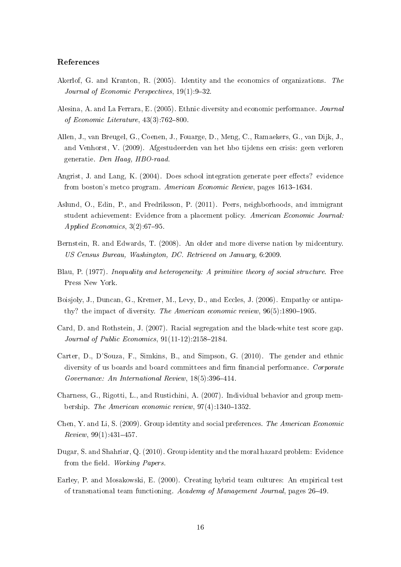## References

- Akerlof, G. and Kranton, R. (2005). Identity and the economics of organizations. The Journal of Economic Perspectives,  $19(1)$ :  $9-32$ .
- Alesina, A. and La Ferrara, E. (2005). Ethnic diversity and economic performance. Journal of Economic Literature,  $43(3)$ :762-800.
- Allen, J., van Breugel, G., Coenen, J., Fouarge, D., Meng, C., Ramaekers, G., van Dijk, J., and Venhorst, V. (2009). Afgestudeerden van het hbo tijdens een crisis: geen verloren generatie. Den Haag, HBO-raad.
- Angrist, J. and Lang, K. (2004). Does school integration generate peer effects? evidence from boston's metco program. American Economic Review, pages 1613-1634.
- Aslund, O., Edin, P., and Fredriksson, P. (2011). Peers, neighborhoods, and immigrant student achievement: Evidence from a placement policy. American Economic Journal: Applied Economics,  $3(2):67-95$ .
- Bernstein, R. and Edwards, T. (2008). An older and more diverse nation by midcentury. US Census Bureau, Washington, DC. Retrieved on January, 6:2009.
- Blau, P. (1977). Inequality and heterogeneity: A primitive theory of social structure. Free Press New York.
- Boisjoly, J., Duncan, G., Kremer, M., Levy, D., and Eccles, J. (2006). Empathy or antipathy? the impact of diversity. The American economic review,  $96(5)$ :1890-1905.
- Card, D. and Rothstein, J. (2007). Racial segregation and the black-white test score gap. Journal of Public Economics,  $91(11-12)$ :2158-2184.
- Carter, D., D'Souza, F., Simkins, B., and Simpson, G. (2010). The gender and ethnic diversity of us boards and board committees and firm financial performance. Corporate Governance: An International Review,  $18(5)$ :396-414.
- Charness, G., Rigotti, L., and Rustichini, A. (2007). Individual behavior and group membership. The American economic review,  $97(4):1340-1352$ .
- Chen, Y. and Li, S. (2009). Group identity and social preferences. The American Economic  $Review, 99(1): 431-457.$
- Dugar, S. and Shahriar, Q. (2010). Group identity and the moral hazard problem: Evidence from the field. Working Papers.
- Earley, P. and Mosakowski, E. (2000). Creating hybrid team cultures: An empirical test of transnational team functioning. Academy of Management Journal, pages 26-49.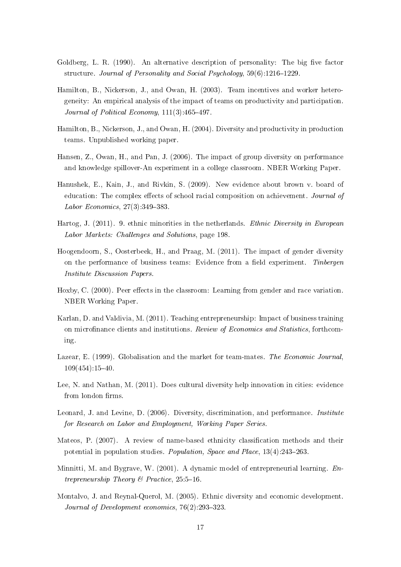- Goldberg, L. R. (1990). An alternative description of personality: The big five factor structure. Journal of Personality and Social Psychology,  $59(6)$ :1216-1229.
- Hamilton, B., Nickerson, J., and Owan, H. (2003). Team incentives and worker heterogeneity: An empirical analysis of the impact of teams on productivity and participation. Journal of Political Economy,  $111(3):465-497$ .
- Hamilton, B., Nickerson, J., and Owan, H. (2004). Diversity and productivity in production teams. Unpublished working paper.
- Hansen, Z., Owan, H., and Pan, J. (2006). The impact of group diversity on performance and knowledge spillover-An experiment in a college classroom. NBER Working Paper.
- Hanushek, E., Kain, J., and Rivkin, S. (2009). New evidence about brown v. board of education: The complex effects of school racial composition on achievement. Journal of Labor Economics,  $27(3):349-383$ .
- Hartog, J. (2011). 9. ethnic minorities in the netherlands. Ethnic Diversity in European Labor Markets: Challenges and Solutions, page 198.
- Hoogendoorn, S., Oosterbeek, H., and Praag, M. (2011). The impact of gender diversity on the performance of business teams: Evidence from a field experiment. Tinbergen Institute Discussion Papers.
- Hoxby, C. (2000). Peer effects in the classroom: Learning from gender and race variation. NBER Working Paper.
- Karlan, D. and Valdivia, M. (2011). Teaching entrepreneurship: Impact of business training on microfinance clients and institutions. Review of Economics and Statistics, forthcoming.
- Lazear, E. (1999). Globalisation and the market for team-mates. The Economic Journal,  $109(454):15-40.$
- Lee, N. and Nathan, M. (2011). Does cultural diversity help innovation in cities: evidence from london firms.
- Leonard, J. and Levine, D. (2006). Diversity, discrimination, and performance. Institute for Research on Labor and Employment, Working Paper Series.
- Mateos, P. (2007). A review of name-based ethnicity classification methods and their potential in population studies. Population, Space and Place,  $13(4):243-263$ .
- Minnitti, M. and Bygrave, W. (2001). A dynamic model of entrepreneurial learning. Entrepreneurship Theory & Practice,  $25:5-16$ .
- Montalvo, J. and Reynal-Querol, M. (2005). Ethnic diversity and economic development. Journal of Development economics,  $76(2):293-323$ .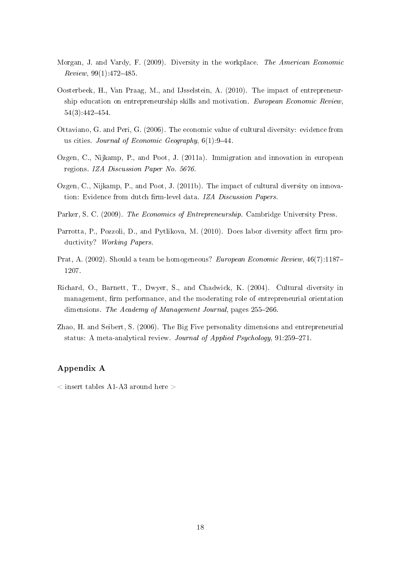- Morgan, J. and Vardy, F. (2009). Diversity in the workplace. The American Economic  $Review, 99(1):472-485.$
- Oosterbeek, H., Van Praag, M., and IJsselstein, A. (2010). The impact of entrepreneurship education on entrepreneurship skills and motivation. European Economic Review,  $54(3):442-454$
- Ottaviano, G. and Peri, G. (2006). The economic value of cultural diversity: evidence from us cities. Journal of Economic Geography,  $6(1)$ :9-44.
- Ozgen, C., Nijkamp, P., and Poot, J. (2011a). Immigration and innovation in european regions. IZA Discussion Paper No. 5676.
- Ozgen, C., Nijkamp, P., and Poot, J. (2011b). The impact of cultural diversity on innovation: Evidence from dutch firm-level data. IZA Discussion Papers.
- Parker, S. C. (2009). The Economics of Entrepreneurship. Cambridge University Press.
- Parrotta, P., Pozzoli, D., and Pytlikova, M. (2010). Does labor diversity affect firm productivity? Working Papers.
- Prat, A. (2002). Should a team be homogeneous? *European Economic Review*,  $46(7):1187-$ 1207.
- Richard, O., Barnett, T., Dwyer, S., and Chadwick, K. (2004). Cultural diversity in management, firm performance, and the moderating role of entrepreneurial orientation dimensions. The Academy of Management Journal, pages 255-266.
- Zhao, H. and Seibert, S. (2006). The Big Five personality dimensions and entrepreneurial status: A meta-analytical review. Journal of Applied Psychology,  $91:259-271$ .

# Appendix A

 $\zeta$  insert tables A1-A3 around here  $\zeta$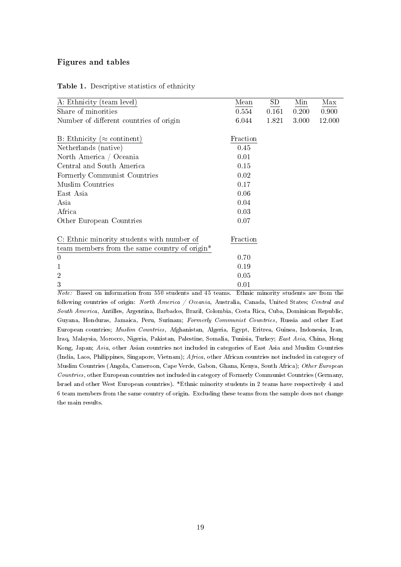# Figures and tables

| A: Ethnicity (team level)                     | Mean     | SD    | Min   | Max    |
|-----------------------------------------------|----------|-------|-------|--------|
| Share of minorities                           | 0.554    | 0.161 | 0.200 | 0.900  |
| Number of different countries of origin       | 6.044    | 1.821 | 3.000 | 12.000 |
|                                               |          |       |       |        |
| B: Ethnicity ( $\approx$ continent)           | Fraction |       |       |        |
| Netherlands (native)                          | 0.45     |       |       |        |
| North America / Oceania                       | 0.01     |       |       |        |
| Central and South America                     | 0.15     |       |       |        |
| Formerly Communist Countries                  | 0.02     |       |       |        |
| Muslim Countries                              | 0.17     |       |       |        |
| East Asia                                     | 0.06     |       |       |        |
| Asia                                          | 0.04     |       |       |        |
| Africa                                        | 0.03     |       |       |        |
| Other European Countries                      | 0.07     |       |       |        |
|                                               |          |       |       |        |
| C: Ethnic minority students with number of    | Fraction |       |       |        |
| team members from the same country of origin* |          |       |       |        |
| $\theta$                                      | 0.70     |       |       |        |
| 1                                             | 0.19     |       |       |        |
| $\overline{2}$                                | 0.05     |       |       |        |
| 3                                             | 0.01     |       |       |        |

Note: Based on information from 550 students and 45 teams. Ethnic minority students are from the following countries of origin: North America / Oceania, Australia, Canada, United States; Central and South America, Antilles, Argentina, Barbados, Brazil, Colombia, Costa Rica, Cuba, Dominican Republic, Guyana, Honduras, Jamaica, Peru, Surinam; Formerly Communist Countries, Russia and other East European countries; Muslim Countries, Afghanistan, Algeria, Egypt, Eritrea, Guinea, Indonesia, Iran, Iraq, Malaysia, Morocco, Nigeria, Pakistan, Palestine, Somalia, Tunisia, Turkey; East Asia, China, Hong Kong, Japan; Asia, other Asian countries not included in categories of East Asia and Muslim Countries (India, Laos, Philippines, Singapore, Vietnam); Africa, other African countries not included in category of Muslim Countries (Angola, Cameroon, Cape Verde, Gabon, Ghana, Kenya, South Africa); Other European Countries, other European countries not included in category of Formerly Communist Countries (Germany, Israel and other West European countries). \*Ethnic minority students in 2 teams have respectively 4 and 6 team members from the same country of origin. Excluding these teams from the sample does not change the main results.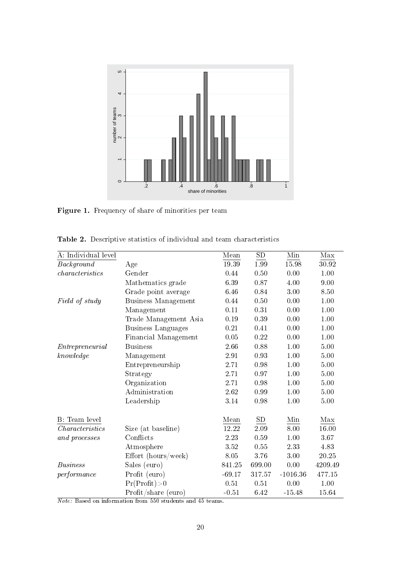

Figure 1. Frequency of share of minorities per team

| A: Individual level |                       | Mean     | ${\rm SD}$ | Min        | Max     |
|---------------------|-----------------------|----------|------------|------------|---------|
| Background          | Age                   | 19.39    | 1.99       | 15.98      | 30.92   |
| characteristics     | Gender                | 0.44     | 0.50       | 0.00       | 1.00    |
|                     | Mathematics grade     | 6.39     | 0.87       | 4.00       | 9.00    |
|                     | Grade point average   | 6.46     | 0.84       | 3.00       | 8.50    |
| Field of study      | Business Management   | 0.44     | 0.50       | 0.00       | 1.00    |
|                     | Management            | 0.11     | 0.31       | 0.00       | 1.00    |
|                     | Trade Management Asia | 0.19     | 0.39       | 0.00       | 1.00    |
|                     | Business Languages    | 0.21     | 0.41       | 0.00       | 1.00    |
|                     | Financial Management  | 0.05     | 0.22       | 0.00       | 1.00    |
| Entrepreneurial     | <b>Business</b>       | 2.66     | 0.88       | 1.00       | 5.00    |
| knowledge           | Management            | 291      | 0.93       | 1.00       | 5.00    |
|                     | Entrepreneurship      | 271      | 0.98       | 1.00       | 5.00    |
|                     | Strategy              | 2.71     | 0.97       | 1.00       | 5.00    |
|                     | Organization          | 2.71     | 0.98       | 1.00       | 5.00    |
|                     | Administration        | 2.62     | 0.99       | 1.00       | 5.00    |
|                     | Leadership            | $3.14\,$ | 0.98       | 1.00       | 5.00    |
| B: Team level       |                       | Mean     | SD         | Min        | Max     |
| Characteristics     | Size (at baseline)    | 12.22    | 2.09       | 8.00       | 16.00   |
| and processes       | Conflicts             | 2.23     | 0.59       | 1.00       | 3.67    |
|                     | Atmosphere            | 3.52     | 0.55       | 2.33       | 4.83    |
|                     | Effort (hours/week)   | 8.05     | 3.76       | 3.00       | 20.25   |
| <i>Business</i>     | Sales (euro)          | 841.25   | 699.00     | 0.00       | 4209.49 |
| performance         | Profit (euro)         | $-69.17$ | 317.57     | $-1016.36$ | 477.15  |
|                     | Pr(Profit) > 0        | 0.51     | 0.51       | 0.00       | 1.00    |
|                     | Profit/share (euro)   | $-0.51$  | 6.42       | $-15.48$   | 15.64   |

Table 2. Descriptive statistics of individual and team characteristics

Note: Based on information from 550 students and 45 teams.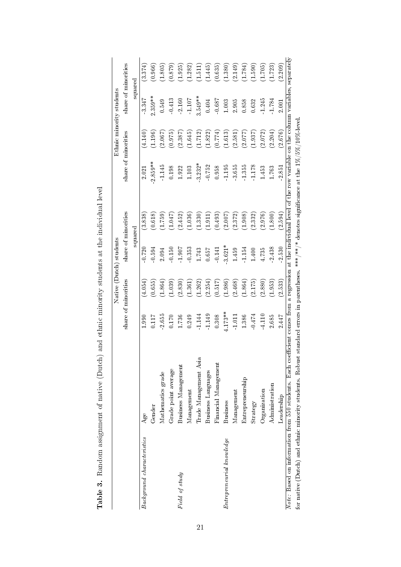|                                                         |                                                                                                                                                                        |          |                     | Native (Dutch) students |                                                                                               |                     | Ethnic minority students |           |                     |
|---------------------------------------------------------|------------------------------------------------------------------------------------------------------------------------------------------------------------------------|----------|---------------------|-------------------------|-----------------------------------------------------------------------------------------------|---------------------|--------------------------|-----------|---------------------|
|                                                         |                                                                                                                                                                        |          | share of minorities |                         | share of minorities                                                                           | share of minorities |                          |           | share of minorities |
|                                                         |                                                                                                                                                                        |          |                     |                         | squared                                                                                       |                     |                          |           | squared             |
| Background characteristics                              | Age                                                                                                                                                                    | 1.990    | (4.054)             | 0.720                   | (3.838)                                                                                       | 2.021               | (4.140)                  | 3.347     | (3.374)             |
|                                                         | Gender                                                                                                                                                                 | 0.117    | (0.655)             | 0.594                   | (0.618)                                                                                       | $2.859**$           | (1.196)                  | $2.359**$ | (0.966)             |
|                                                         | Mathematics grade                                                                                                                                                      | 2.655    | (1.864)             | 2.094                   | (1.759)                                                                                       | 1.145               | (2.067)                  | 0.549     | (1.805)             |
|                                                         | Grade point average                                                                                                                                                    | 0.170    | (1.039)             | 0.150                   | (1.047)                                                                                       | $\,0.198$           | (0.975)                  | 0.413     | (0.879)             |
| Field of study                                          | Business Management                                                                                                                                                    | 1.736    | (2.830)             | 1.907                   | (2.452)                                                                                       | 1.922               | (2.387)                  | 2.160     | (1.925)             |
|                                                         | Management                                                                                                                                                             | 0.249    | (1.361)             | 0.353                   | (1.036)                                                                                       | 1.103               | (1.645)                  | $-1.107$  | (1.282)             |
|                                                         | Trade Management Asia                                                                                                                                                  | 1.144    | (1.262)             | 1.743                   | (1.330)                                                                                       | $3.232*$            | (1.712)                  | $3.549**$ | (1.511)             |
|                                                         | Business Languages                                                                                                                                                     | 1.149    | (2.254)             | 0.657                   | (1.911)                                                                                       | 0.752               | (1.822)                  | 0.404     | (1.445)             |
|                                                         | Financial Management                                                                                                                                                   | 0.308    | (0.517)             | $-0.141$                | (0.493)                                                                                       | 0.958               | (0.774)                  | $-0.687$  | (0.635)             |
| Entrepreneural knowledge                                | <b>Business</b>                                                                                                                                                        | $173**$  | (1.986)             | $-3.621*$               | (2.007)                                                                                       | 1.195               | (1.613)                  | $1.003\,$ | (1.380)             |
|                                                         | $M$ anagement                                                                                                                                                          | $-1.011$ | (2.468)             | 1.459                   | (2.372)                                                                                       | 3.655               | (2.581)                  | 2.905     | (2.149)             |
|                                                         | Entrepreneurship                                                                                                                                                       | 1.386    | (1.864)             | 1.154                   | (1.908)                                                                                       | 1.355               | (2.077)                  | 0.858     | (1.784)             |
|                                                         | Strategy                                                                                                                                                               | $-0.474$ | (2.175)             | 1.400                   | (2.332)                                                                                       | 1.178               | (1.937)                  | 0.632     | (1.590)             |
|                                                         | Organization                                                                                                                                                           | 4.110    | (2.880)             | 4.735                   | (2.976)                                                                                       | 1.453               | (2.072)                  | 1.245     | (1.705)             |
|                                                         | Administration                                                                                                                                                         | 2.685    | (1.953)             | 2.438                   | (1.800)                                                                                       | 1.763               | (2.204)                  | 1.784     | (1.723)             |
|                                                         | Leadership                                                                                                                                                             | 2.447    | (2.533)             | 2.530                   | (2.594)                                                                                       | 2.851               | (2.676)                  | 2.001     | (2.209)             |
|                                                         | Note: Based on information from 550 students. Each coefficient comes from a regression at the individual level of the row variable on the column variables, separately |          |                     |                         |                                                                                               |                     |                          |           |                     |
| for native (Dutch) and ethnic minority students. Robust |                                                                                                                                                                        |          |                     |                         | standard errors in parentheses. ***/* $4$ denotes significance at the $1\% /5\% /10\%$ -level |                     |                          |           |                     |

Table 3. Random assignment of native (Dutch) and ethnic minority students at the individual level Table 3. Random assignment of native (Dutch) and ethnic minority students at the individual level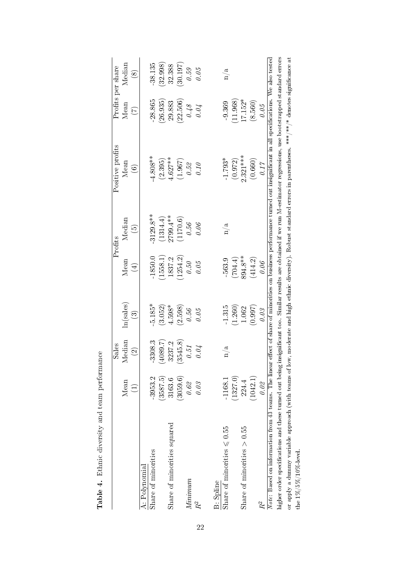|                                                                                                                                                                            |                 | Sales         |                   |             | Profits     | Positive profits                                                                                                     |                 | Profits per share |
|----------------------------------------------------------------------------------------------------------------------------------------------------------------------------|-----------------|---------------|-------------------|-------------|-------------|----------------------------------------------------------------------------------------------------------------------|-----------------|-------------------|
|                                                                                                                                                                            | Mean            | Median        | ln(sales)         | Mean        | Median      | Mean                                                                                                                 | Mean            | Median            |
|                                                                                                                                                                            | $\widehat{\Xi}$ | $\odot$       | $\widehat{\odot}$ | $\bigoplus$ | $\odot$     | $\widehat{\odot}$                                                                                                    | $\widehat{\Xi}$ | $\circledS$       |
| A: Polynomial                                                                                                                                                              |                 |               |                   |             |             |                                                                                                                      |                 |                   |
| Share of minorities                                                                                                                                                        | -3953.2         | -3308.3       | $5.185*$          | 1850.0      | $3129.8**$  | $4.808**$                                                                                                            | 28.865          | 38.135            |
|                                                                                                                                                                            | (3587.5)        | (1080.7)      | (3.052)           | (1558.1)    | (1314.4)    | (2.395)                                                                                                              | 26.935          | 32.998            |
| Share of minorities squared                                                                                                                                                | 3163.6          | 3237.2        | $4.598*$          | 1837.2      | $2799.4***$ | $4.627***$                                                                                                           | 29.883          | 32.388            |
|                                                                                                                                                                            | (3059.6)        | 3545.8)<br>ಲ್ | (2.598)           | (1254.2)    | (1170.6)    | (1.967)                                                                                                              | (22.506)        | (30.197)          |
| Minimum                                                                                                                                                                    | 0.62            | 0.51          | 0.56              | $0.5\theta$ | $0.56\,$    | $0.5\%$                                                                                                              | $0.48\,$        | 0.59              |
| ŘΖ                                                                                                                                                                         | 0.03            | 0.04          | 0.05              | 0.05        | 0.06        | 0.10                                                                                                                 | 0.04            | 0.05              |
| <b>B</b> : Spline                                                                                                                                                          |                 |               |                   |             |             |                                                                                                                      |                 |                   |
|                                                                                                                                                                            |                 |               |                   |             |             |                                                                                                                      |                 |                   |
| Share of minorities $\leq 0.55$                                                                                                                                            | $-1168.1$       | n/a           | $-1.315$          | $-563.9$    | n/a         | $-1.793*$                                                                                                            | $-9.369$        | n/a               |
|                                                                                                                                                                            | (1327.0)        |               | (1.260)           | (704.4)     |             | (0.972)                                                                                                              | (11.968)        |                   |
| Share of minorities $> 0.55$                                                                                                                                               | 224.4           |               | 1.062             | 894.8**     |             | $2.321***$                                                                                                           | $17.152*$       |                   |
|                                                                                                                                                                            | (1042.1)        |               | (0.997)           | (414.2)     |             | (0.660)                                                                                                              | (8.560)         |                   |
| $R^2$                                                                                                                                                                      | 0.02            |               | 0.03              | 0.06        |             | 0.17                                                                                                                 | 0.05            |                   |
| Note: Based on information from 43 teams. The linear                                                                                                                       |                 |               |                   |             |             | effect of share of minorities on business performance turned out insignificant in all specifications. We also tested |                 |                   |
| higher order specifications and these turned out being insignificant too. Similar results are obtained if we run M-estimator regressions, use bootstrapped standard errors |                 |               |                   |             |             |                                                                                                                      |                 |                   |
| or apply a dummy variable approach (with teams of low, moderate and high ethnic diversity). Robust standard errors in parentheses. ***/**/* denotes significance at        |                 |               |                   |             |             |                                                                                                                      |                 |                   |
| the $1\%/5\%/10\%$ -level.                                                                                                                                                 |                 |               |                   |             |             |                                                                                                                      |                 |                   |

Table 4. Ethnic diversity and team performance Table 4. Ethnic diversity and team performance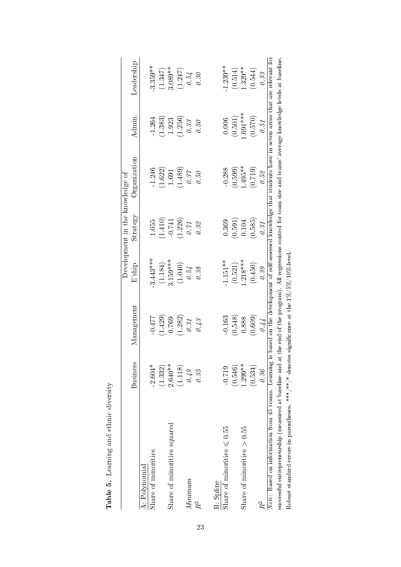| ١<br>ļ<br>l<br>í                 |
|----------------------------------|
| ς<br>$\frac{6}{5}$               |
| ì<br>í                           |
| $\sim$ $\sim$ $\sim$ $\sim$<br>J |
| J<br>I                           |
|                                  |

|                                                                                                                                                                   |                 |            |            | Development in the knowledge of |                                                                                                                 |                |            |
|-------------------------------------------------------------------------------------------------------------------------------------------------------------------|-----------------|------------|------------|---------------------------------|-----------------------------------------------------------------------------------------------------------------|----------------|------------|
|                                                                                                                                                                   | <b>Business</b> | Management | $E$ ship   | Strategy                        | Organization                                                                                                    | $\Lambda$ dmin | Leadership |
| A: Polynomial                                                                                                                                                     |                 |            |            |                                 |                                                                                                                 |                |            |
| Share of minorities                                                                                                                                               | $-2.604*$       | $-0.477$   | $3.443***$ | 1.055                           | -1.246                                                                                                          | 1.264          | $3.359**$  |
|                                                                                                                                                                   | (1.332)         | (1.429)    | (1.184)    | (1.410)                         | (1.622)                                                                                                         | (1.383)        | (1.347)    |
| Share of minorities squared                                                                                                                                       | $2.640**$       | 0.769      | $3.159***$ | $-0.741$                        | 1.691                                                                                                           | 1.923          | 3.089**    |
|                                                                                                                                                                   | (1.118)         | (1.282)    | (1.040)    | (1.226)                         | (1.489)                                                                                                         | (1.256)        | (1.247)    |
| Minimum                                                                                                                                                           | 0.49            | 0.31       | $0.54$     | 0.71                            | 0.37                                                                                                            | $0.3\%$        | 0.54       |
| R <sup>2</sup>                                                                                                                                                    | 0.35            | 0.43       | 0.38       | 0.32                            | 0.50                                                                                                            | 0.50           | 0.30       |
|                                                                                                                                                                   |                 |            |            |                                 |                                                                                                                 |                |            |
| <b>B</b> : Spline                                                                                                                                                 |                 |            |            |                                 |                                                                                                                 |                |            |
| Share of minorities $\leq 0.55$                                                                                                                                   | $-0.719$        | $-0.163$   | $1.151**$  | 0.369                           | $-0.288$                                                                                                        | 0.006          | $1.239**$  |
|                                                                                                                                                                   | (0.546)         | (0.548)    | (0.521)    | (0.591)                         | (0.599)                                                                                                         | (0.501)        | (0.514)    |
| Share of minorities $> 0.55$                                                                                                                                      | $.299**$        | 0.888      | $.218***$  | 0.104                           | 1.495**                                                                                                         | $-691***$      | $1.329**$  |
|                                                                                                                                                                   | (0.534)         | (0.609)    | (0.450)    | (0.585)                         | (0.719)                                                                                                         | (0.570)        | (0.544)    |
| $R^2$                                                                                                                                                             | 0.36            | 0.44       | 0.39       | 0.31                            | 0.52                                                                                                            | 0.51           | 0.33       |
| Note: Based on information from 45 teams. Learning is based on the development of self-assessed knowledge that students have in seven areas that are relevant for |                 |            |            |                                 |                                                                                                                 |                |            |
| successful entrepreneurship (measured at baseline and at                                                                                                          |                 |            |            |                                 | the end of the program). All regressions control for team size and teams' average knowledge levels at baseline. |                |            |
| Robust standard errors in parentheses. ***/**/* denotes significance at the $1\%/5\%/10\%$ -level.                                                                |                 |            |            |                                 |                                                                                                                 |                |            |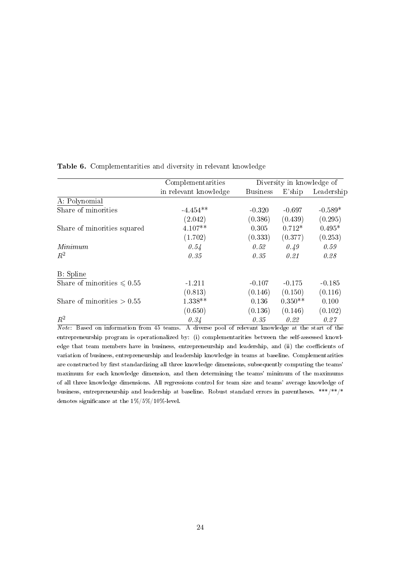|                                 | Complementarities     |                 | Diversity in knowledge of |            |
|---------------------------------|-----------------------|-----------------|---------------------------|------------|
|                                 | in relevant knowledge | <b>Business</b> | E'ship                    | Leadership |
| A: Polynomial                   |                       |                 |                           |            |
| Share of minorities             | $-4.454**$            | $-0.320$        | $-0.697$                  | $-0.589*$  |
|                                 | (2.042)               | (0.386)         | (0.439)                   | (0.295)    |
| Share of minorities squared     | $4.107**$             | 0.305           | $0.712*$                  | $0.495*$   |
|                                 | (1.702)               | (0.333)         | (0.377)                   | (0.253)    |
| Minimum                         | 0.54                  | 0.52            | 0.49                      | 0.59       |
| $R^2$                           | 0.35                  | 0.35            | 0.21                      | 0.28       |
| B: Spline                       |                       |                 |                           |            |
| Share of minorities $\leq 0.55$ | $-1.211$              | $-0.107$        | $-0.175$                  | $-0.185$   |
|                                 | (0.813)               | (0.146)         | (0.150)                   | (0.116)    |
| Share of minorities $> 0.55$    | 1.338**               | 0.136           | $0.350**$                 | 0.100      |
|                                 | (0.650)               | (0.136)         | (0.146)                   | (0.102)    |
| $R^2$                           | 0.34                  | 0.35            | 0.22                      | 0.27       |

Table 6. Complementarities and diversity in relevant knowledge

Note: Based on information from 45 teams. A diverse pool of relevant knowledge at the start of the entrepreneurship program is operationalized by: (i) complementarities between the self-assessed knowledge that team members have in business, entrepreneurship and leadership, and (ii) the coefficients of variation of business, entrepreneurship and leadership knowledge in teams at baseline. Complementarities are constructed by first standardizing all three knowledge dimensions, subsequently computing the teams' maximum for each knowledge dimension, and then determining the teams' minimum of the maximums of all three knowledge dimensions. All regressions control for team size and teams' average knowledge of business, entrepreneurship and leadership at baseline. Robust standard errors in parentheses. \*\*\*/\*\*/\* denotes significance at the  $1\%/5\%/10\%$  level.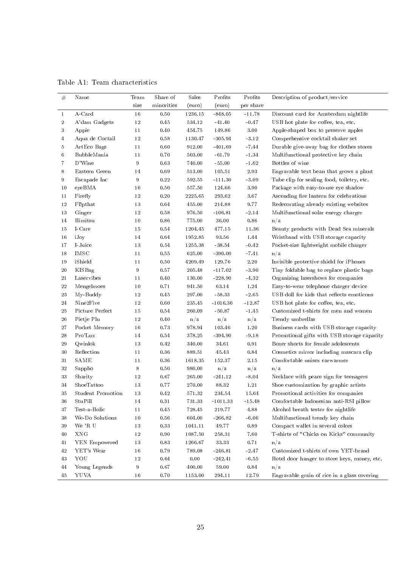| $\#$             | Name              | Team             | Share of   | Sales   | Profits    | Profits             | Description of product/service               |
|------------------|-------------------|------------------|------------|---------|------------|---------------------|----------------------------------------------|
|                  |                   | size             | minorities | (euro)  | (euro)     | per share           |                                              |
| $\mathbf{1}$     | $A-Card$          | $16\,$           | 0.50       | 1236.15 | $-848.05$  | $-11.78$            | Discount card for Amsterdam nightlife        |
| $\boldsymbol{2}$ | A'dam Gadgets     | 12               | 0.45       | 534.12  | $-41.40$   | $-0.47$             | USB hot plate for coffee, tea, etc.          |
| 3                | Appie             | 11               | 0.40       | 454.75  | 149.86     | $3.00\,$            | Apple-shaped box to preserve apples          |
| $\overline{4}$   | Aqua de Coctail   | 12               | 0.58       | 1130.47 | $-305.94$  | $-3.12$             | Comprehensive cocktail shaker set            |
| 5                | ArtEco Bags       | 11               | 0.60       | 912.00  | $-401.69$  | $-7.44$             | Durable give-away bag for clothes stores     |
| 6                | BubbleMania       | 11               | 0.70       | 503.00  | $-61.79$   | $-1.34$             | Multifunctional protective key chain         |
| $\overline{7}$   | D'Wine            | 9                | 0.63       | 740.00  | $-55.00$   | $-1.62$             | Bottles of wine                              |
| 8                | Eastern Green     | 14               | 0.69       | 513.00  | 105.51     | 2.93                | Engravable text bean that grows a plant      |
| 9                | Escapade Inc      | 9                | 0.22       | 592.55  | $-111.30$  | $-3.09$             | Tube clip for sealing food, toiletry, etc.   |
| 10               | eyeBMA            | 16               | 0.50       | 557.50  | 124.66     | 3.90                | Package with easy-to-use eye shadow          |
| 11               | Firefly           | 12               | 0.20       | 2225.65 | 293.62     | 3.67                | Ascending fire lantern for celebrations      |
| 12               | Fl!pthat          | 13               | 0.64       | 455.00  | 214.88     | 9.77                | Redecorating already existing websites       |
| 13               | Ginger            | 12               | 0.58       | 976.50  | $-106.81$  | $-2.14$             | Multifunctional solar energy charger         |
| 14               | Himitsu           | 10               | 0.86       | 775.00  | 36.00      | $\boldsymbol{0.86}$ | n/a                                          |
| 15               | I-Care            | 15               | 0.54       | 1204.45 | 477.15     | 11.36               | Beauty products with Dead Sea minerals       |
| 16               | iJoy              | 14               | 0.64       | 1952.85 | 93.56      | 1.44                | Wristband with USB storage capacity          |
| 17               | I-Juice           | 13               | 0.54       | 1255.38 | $-38.54$   | $-0.42$             | Pocket-size lightweight mobile charger       |
| 18               | IMSC              | 11               | 0.55       | 625.00  | $-390.00$  | $-7.41$             | n/a                                          |
| 19               | iShield           | 11               | 0.50       | 4209.49 | 129.76     | $2\,.20$            | Invisible protective shield for iPhones      |
| 20               | KISBag            | $\boldsymbol{9}$ | 0.57       | 205.48  | $-117.02$  | $-3.90$             | Tiny foldable bag to replace plastic bags    |
| 21               | Laservibes        | 11               | 0.40       | 130.00  | $-228.90$  | $-4.32$             | Organizing lasershows for companies          |
| ${\bf 22}$       | Mengelmoes        | 10               | 0.71       | 941.50  | 63.14      | 1.24                | Easy-to-wear telephone charger device        |
| 23               | My-Buddy          | 12               | 0.45       | 297.00  | $-58.33$   | $-2.65$             | USB doll for kids that reflects emoticons    |
| 24               | Nine2Five         | 12               | $0.60\,$   | 235.45  | $-1016.36$ | $-12.87$            | USB hot plate for coffee, tea, etc.          |
| 25               | Picture Perfect   | 15               | 0.54       | 260.09  | $-50.87$   | $-1.45$             | Customized t-shirts for men and women        |
| 26               | Pietje Plu        | 12               | 0.40       | n/a     | n/a        | n/a                 | Trendy umbrellas                             |
| 27               | Pocket Memory     | 16               | 0.73       | 978.94  | 103.46     | 1.20                | Business cards with USB storage capacity     |
| 28               | Pro'Lux           | 14               | 0.54       | 378.25  | $-394.90$  | $-9.18$             | Promotional gifts with USB storage capacity  |
| 29               | Qwinlok           | 13               | 0.42       | 340.00  | 34.61      | 0.91                | Boxer shorts for female adolescents          |
| 30               | Reflection        | 11               | 0.36       | 889.51  | 45.43      | 0.84                | Cosmetics mirror including mascara clip      |
| 31               | <b>SAME</b>       | 11               | 0.36       | 1618.35 | 152.37     | 2.15                | Comfortable unisex earwarmer                 |
| $3\sqrt{2}$      | Sappho            | 8                | 0.50       | 980.00  | n/a        | n/a                 | n/a                                          |
| 33               | Sharity           | 12               | 0.67       | 265.00  | $-241.12$  | $-8.04$             | Necklace with peace sign for teenagers       |
| 34               | ShoeTattoo        | 13               | 0.77       | 270.00  | 88.32      | 1.21                | Shoe customization by graphic artists        |
| 35               | Student Promotion | 13               | 0.42       | 571.32  | 234.54     | 15.64               | Promotional activities for companies         |
| 36               | StuPill           | 14               | 0.31       | 731.33  | $-1011.33$ | $-15.48$            | Comfortable Indonesian anti-RSI pillow       |
| 37               | Test-a-Holic      | 11               | 0.45       | 728.45  | 219.77     | 4.88                | Alcohol breath tester for nightlife          |
| 38               | We-Do Solutions   | 10               | $0.56\,$   | 604.00  | $-266.82$  | $\mbox{-}6$ .<br>06 | Multifunctional trendy key chain             |
| 39               | We 'R U           | 13               | $0.33\,$   | 1041.11 | 49.77      | 0.89                | Compact wallet in several colors             |
| 40               | XNG               | 12               | $0.90\,$   | 1087.50 | 258.31     | 7.60                | T-shirts of "Chicks on Kicks" community      |
| 41               | YEN Empowered     | 13               | $0.83\,$   | 1266.67 | 33.33      | 0.71                | n/a                                          |
| 42               | YET's Wear        | 16               | 0.79       | 789.08  | $-246.81$  | $-2.47$             | Customized t-shirts of own YET-brand         |
| 43               | YOU               | 12               | 0.64       | 0.00    | $-242.41$  | $-6.55$             | Hotel door hanger to store keys, money, etc. |
| 44               | Young Legends     | 9                | 0.67       | 400.00  | 59.00      | $\bf 0.84$          | n/a                                          |
| 45               | YUVA              | 16               | 0.70       | 1153.00 | 294.11     | 12.79               | Engravable grain of rice in a glass covering |

Table A1: Team characteristics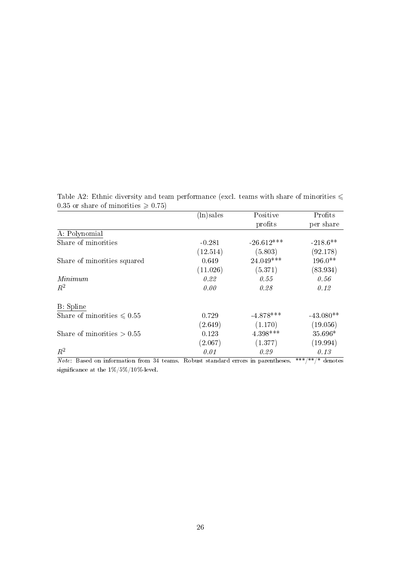Table A2: Ethnic diversity and team performance (excl. teams with share of minorities  $\leq$ 0.35 or share of minorities  $\geqslant$  0.75)

|                                 | (ln)sales | Positive     | Profits     |
|---------------------------------|-----------|--------------|-------------|
|                                 |           | profits      | per share   |
| A: Polynomial                   |           |              |             |
| Share of minorities             | $-0.281$  | $-26.612***$ | $-218.6**$  |
|                                 | (12.514)  | (5.803)      | (92.178)    |
| Share of minorities squared     | 0.649     | 24.049***    | $196.0**$   |
|                                 | (11.026)  | (5.371)      | (83.934)    |
| Minimum                         | 0.22      | 0.55         | 0.56        |
| $R^2$                           | 0.00      | 0.28         | 0.12        |
| B: Spline                       |           |              |             |
| Share of minorities $\leq 0.55$ | 0.729     | $-4.878***$  | $-43.080**$ |
|                                 | (2.649)   | (1.170)      | (19.056)    |
| Share of minorities $> 0.55$    | 0.123     | 4.398***     | 35.696*     |
|                                 | (2.067)   | (1.377)      | (19.994)    |
| $R^2$                           | 0.01      | 0.29         | 0.13        |

Note: Based on information from 34 teams. Robust standard errors in parentheses. \*\*\*/\*\*/\* denotes significance at the  $1\%/5\%/10\%$  level.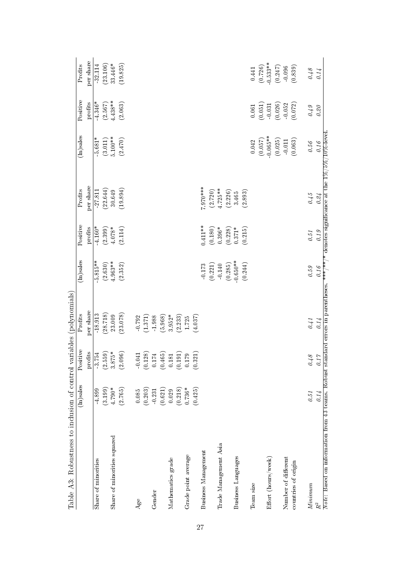| Table A3: Robustness to inclusion of control variables (polynomials)                                                                       |             |                                                           |           |             |            |            |             |            |             |
|--------------------------------------------------------------------------------------------------------------------------------------------|-------------|-----------------------------------------------------------|-----------|-------------|------------|------------|-------------|------------|-------------|
|                                                                                                                                            | $(n)$ sales | Positive                                                  | Profits   | $(n)$ sales | Positive   | Profits    | $(n)$ sales | Positive   | Profits     |
|                                                                                                                                            |             | profits                                                   | per share |             | profits    | per share  |             | profits    | per share   |
| Share of minorities                                                                                                                        | 4.899       | $-3.754$                                                  | 18.913    | $5.815**$   | $-4.160*$  | $-27.811$  | $5.681*$    | $4.346*$   | 32.114      |
|                                                                                                                                            | (3.199)     | (2.559)                                                   | (28.718)  | (2.630)     | (2.399)    | (22.644)   | (3.011)     | (2.567)    | (23.106)    |
| Share of minorities squared                                                                                                                | $4.790*$    | $3.875*$                                                  | 23.009    | $4.963**$   | $4.078*$   | 30.649     | $5.100***$  | $4.438**$  | 33.446*     |
|                                                                                                                                            | (2.765)     | (2.096)                                                   | (23.078)  | (2.352)     | (2.114)    | (19.894)   | (2.470)     | (2.063)    | (19.825)    |
| Age                                                                                                                                        | 0.085       | $-0.041$                                                  | $-0.792$  |             |            |            |             |            |             |
|                                                                                                                                            | (0.203)     |                                                           | (1.371)   |             |            |            |             |            |             |
| Gender                                                                                                                                     | $-0.231$    | $\begin{array}{c} (0.128) \\ 0.174 \end{array}$           | 1.988     |             |            |            |             |            |             |
|                                                                                                                                            | (0.621)     | $\begin{array}{c} (0.465) \\ 0.181 \\ 0.191) \end{array}$ | (5.968)   |             |            |            |             |            |             |
| Mathematics grade                                                                                                                          | 0.029       |                                                           | $3.952*$  |             |            |            |             |            |             |
|                                                                                                                                            | (0.218)     |                                                           | (2.233)   |             |            |            |             |            |             |
| Grade point average                                                                                                                        | $0.736*$    | $0.179\,$                                                 | 1.725     |             |            |            |             |            |             |
|                                                                                                                                            | (0.425)     | $\widehat{\mathbb{Z}}$<br>(0.3)                           | (4.037)   |             |            |            |             |            |             |
| Business Management                                                                                                                        |             |                                                           |           | (0.173)     | $0.411***$ | $7.970***$ |             |            |             |
|                                                                                                                                            |             |                                                           |           |             | (0.180)    | (2.720)    |             |            |             |
| Trade Management Asia                                                                                                                      |             |                                                           |           | $-0.140$    | $0.396*$   | $4.725**$  |             |            |             |
|                                                                                                                                            |             |                                                           |           | (0.285)     | (0.228)    | (2.226)    |             |            |             |
| Business Languages                                                                                                                         |             |                                                           |           | $-0.650**$  | $0.371*$   | 3.465      |             |            |             |
|                                                                                                                                            |             |                                                           |           | (0.244)     | (0.215)    | (2.893)    |             |            |             |
| Team size                                                                                                                                  |             |                                                           |           |             |            |            | $\,0.042\,$ | 0.061      | 0.441       |
|                                                                                                                                            |             |                                                           |           |             |            |            | (0.057)     | (0.051)    | (0.726)     |
| Effort (hours/week)                                                                                                                        |             |                                                           |           |             |            |            | $-0.065**$  | $\!-0.031$ | $-0.533***$ |
|                                                                                                                                            |             |                                                           |           |             |            |            | (0.025)     | (0.026)    | (0.247)     |
| Number of different                                                                                                                        |             |                                                           |           |             |            |            | $-0.011$    | $-0.052$   | $-0.096$    |
| countries of origin                                                                                                                        |             |                                                           |           |             |            |            | (0.063)     | (0.072)    | (0.839)     |
| Minium                                                                                                                                     | 0.51        | 0.48                                                      | 0.41      | $0.59\,$    | $0.51\,$   | $0.45\,$   | $0.56\,$    | 0.49       | $0.48\,$    |
| $\ensuremath{R^{2}}\xspace$                                                                                                                | 0.14        | $\tilde{C}$<br>$\overline{a}$                             | 0.14      | 0.16        | 0.19       | 0.24       | 0.16        | $0.20\,$   | 0.14        |
| Note: Based on information from 43 teams. Robust standard errors in parentheses. *** /** denotes significance at the $1\%/5\%/10\%$ -level |             |                                                           |           |             |            |            |             |            |             |

27